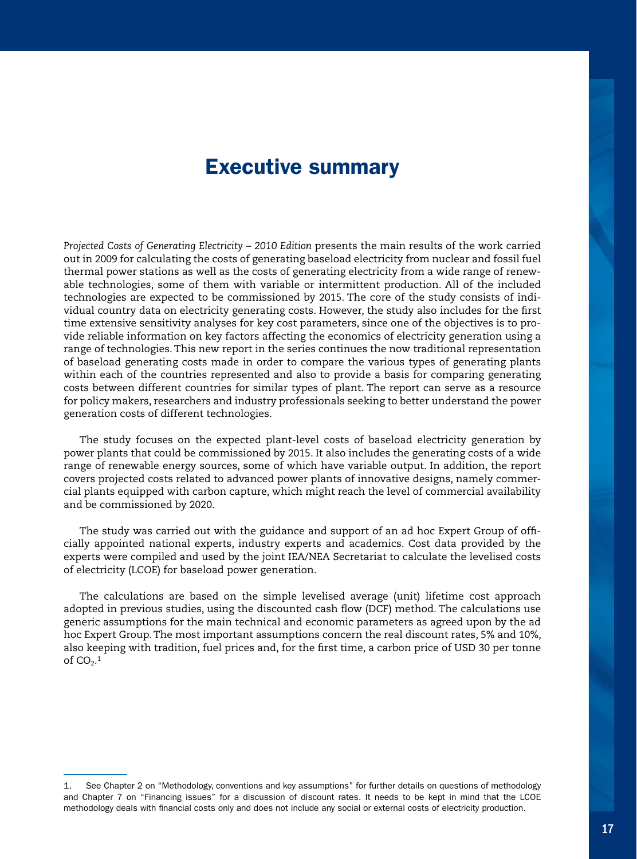# Executive summary

*Projected Costs of Generating Electricity – 2010 Edition* presents the main results of the work carried out in 2009 for calculating the costs of generating baseload electricity from nuclear and fossil fuel thermal power stations as well as the costs of generating electricity from a wide range of renewable technologies, some of them with variable or intermittent production. All of the included technologies are expected to be commissioned by 2015. The core of the study consists of individual country data on electricity generating costs. However, the study also includes for the first time extensive sensitivity analyses for key cost parameters, since one of the objectives is to provide reliable information on key factors affecting the economics of electricity generation using a range of technologies. This new report in the series continues the now traditional representation of baseload generating costs made in order to compare the various types of generating plants within each of the countries represented and also to provide a basis for comparing generating costs between different countries for similar types of plant. The report can serve as a resource for policy makers, researchers and industry professionals seeking to better understand the power generation costs of different technologies.

The study focuses on the expected plant-level costs of baseload electricity generation by power plants that could be commissioned by 2015. It also includes the generating costs of a wide range of renewable energy sources, some of which have variable output. In addition, the report covers projected costs related to advanced power plants of innovative designs, namely commercial plants equipped with carbon capture, which might reach the level of commercial availability and be commissioned by 2020.

The study was carried out with the guidance and support of an ad hoc Expert Group of officially appointed national experts, industry experts and academics. Cost data provided by the experts were compiled and used by the joint IEA/NEA Secretariat to calculate the levelised costs of electricity (LCOE) for baseload power generation.

The calculations are based on the simple levelised average (unit) lifetime cost approach adopted in previous studies, using the discounted cash flow (DCF) method. The calculations use generic assumptions for the main technical and economic parameters as agreed upon by the ad hoc Expert Group. The most important assumptions concern the real discount rates, 5% and 10%, also keeping with tradition, fuel prices and, for the first time, a carbon price of USD 30 per tonne of CO $\rm_2.^1$ 

<sup>1.</sup> See Chapter 2 on "Methodology, conventions and key assumptions" for further details on questions of methodology and Chapter 7 on "Financing issues" for a discussion of discount rates. It needs to be kept in mind that the LCOE methodology deals with financial costs only and does not include any social or external costs of electricity production.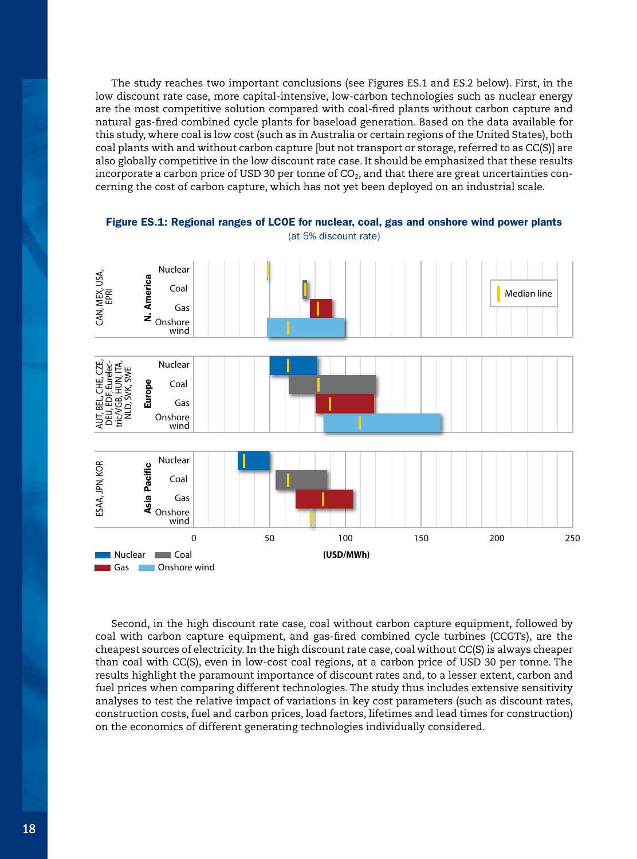The study reaches two important conclusions (see Figures ES.1 and ES.2 below). First, in the low discount rate case, more capital-intensive, low-carbon technologies such as nuclear energy are the most competitive solution compared with coal-fired plants without carbon capture and natural gas-fired combined cycle plants for baseload generation. Based on the data available for this study, where coal is low cost (such as in Australia or certain regions of the United States), both coal plants with and without carbon capture [but not transport or storage, referred to as CC(S)] are also globally competitive in the low discount rate case. It should be emphasized that these results incorporate a carbon price of USD 30 per tonne of  $CO<sub>2</sub>$ , and that there are great uncertainties concerning the cost of carbon capture, which has not yet been deployed on an industrial scale.



Figure ES.1: Regional ranges of LCOE for nuclear, coal, gas and onshore wind power plants (at 5% discount rate)

Second, in the high discount rate case, coal without carbon capture equipment, followed by coal with carbon capture equipment, and gas-fired combined cycle turbines (CCGTs), are the cheapest sources of electricity. In the high discount rate case, coal without CC(S) is always cheaper than coal with CC(S), even in low-cost coal regions, at a carbon price of USD 30 per tonne. The the coal with  $\sim$ results highlight the paramount importance of discount rates and, to a lesser extent, carbon and fuel prices when comparing different technologies. The study thus includes extensive sensitivity analyses to test the relative impact of variations in key cost parameters (such as discount rates,  $\overline{\rm{J}}$  construction costs, fuel and carbon prices, load factors, lifetimes and lead times for construction) on the economics of different generating technologies individually considered. W<br>Sh. 3 cł<br>tł<br>re<br>ar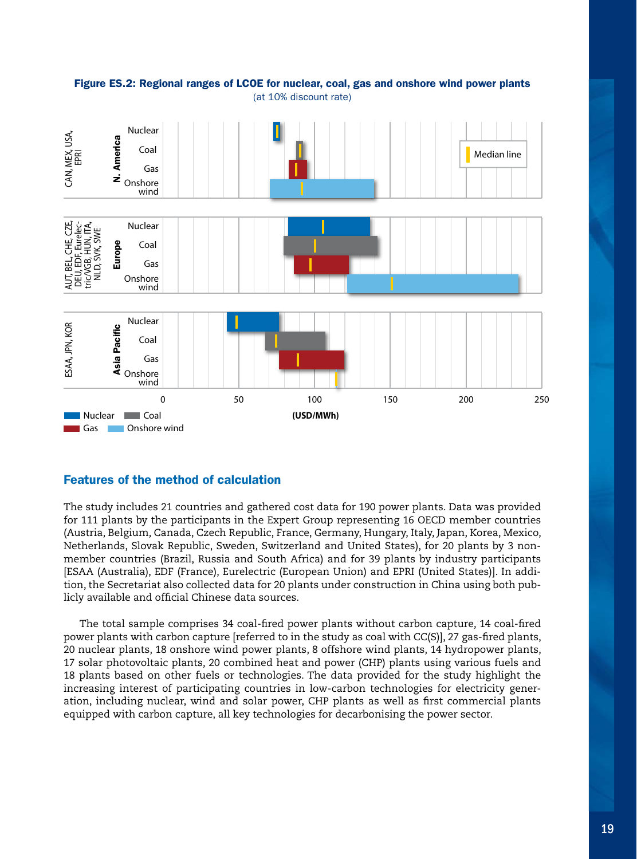

## Figure ES.2: Regional ranges of LCOE for nuclear, coal, gas and onshore wind power plants (at 10% discount rate)

## Features of the method of calculation

The study includes 21 countries and gathered cost data for 190 power plants. Data was provided for 111 plants by the participants in the Expert Group representing 16 OECD member countries (Austria, Belgium, Canada, Czech Republic, France, Germany, Hungary, Italy, Japan, Korea, Mexico, Netherlands, Slovak Republic, Sweden, Switzerland and United States), for 20 plants by 3 nonmember countries (Brazil, Russia and South Africa) and for 39 plants by industry participants [ESAA (Australia), EDF (France), Eurelectric (European Union) and EPRI (United States)]. In addition, the Secretariat also collected data for 20 plants under construction in China using both publicly available and official Chinese data sources.

The total sample comprises 34 coal-fired power plants without carbon capture, 14 coal-fired power plants with carbon capture [referred to in the study as coal with CC(S)], 27 gas-fired plants, 20 nuclear plants, 18 onshore wind power plants, 8 offshore wind plants, 14 hydropower plants, 17 solar photovoltaic plants, 20 combined heat and power (CHP) plants using various fuels and 18 plants based on other fuels or technologies. The data provided for the study highlight the increasing interest of participating countries in low-carbon technologies for electricity generation, including nuclear, wind and solar power, CHP plants as well as first commercial plants equipped with carbon capture, all key technologies for decarbonising the power sector.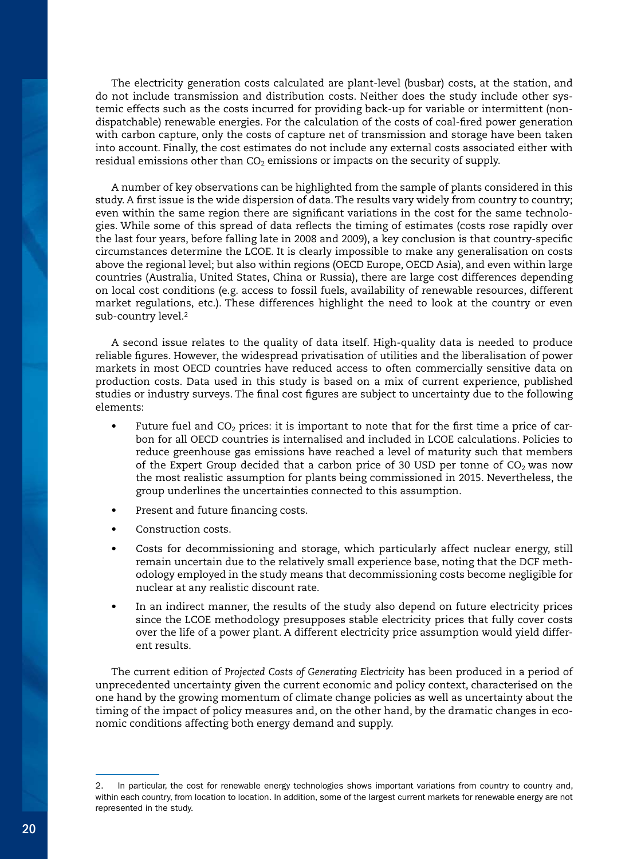The electricity generation costs calculated are plant-level (busbar) costs, at the station, and do not include transmission and distribution costs. Neither does the study include other systemic effects such as the costs incurred for providing back-up for variable or intermittent (nondispatchable) renewable energies. For the calculation of the costs of coal-fired power generation with carbon capture, only the costs of capture net of transmission and storage have been taken into account. Finally, the cost estimates do not include any external costs associated either with residual emissions other than  $CO<sub>2</sub>$  emissions or impacts on the security of supply.

A number of key observations can be highlighted from the sample of plants considered in this study. A first issue is the wide dispersion of data. The results vary widely from country to country; even within the same region there are significant variations in the cost for the same technologies. While some of this spread of data reflects the timing of estimates (costs rose rapidly over the last four years, before falling late in 2008 and 2009), a key conclusion is that country-specific circumstances determine the LCOE. It is clearly impossible to make any generalisation on costs above the regional level; but also within regions (OECD Europe, OECD Asia), and even within large countries (Australia, United States, China or Russia), there are large cost differences depending on local cost conditions (e.g. access to fossil fuels, availability of renewable resources, different market regulations, etc.). These differences highlight the need to look at the country or even sub-country level.2

A second issue relates to the quality of data itself. High-quality data is needed to produce reliable figures. However, the widespread privatisation of utilities and the liberalisation of power markets in most OECD countries have reduced access to often commercially sensitive data on production costs. Data used in this study is based on a mix of current experience, published studies or industry surveys. The final cost figures are subject to uncertainty due to the following elements:

- Future fuel and  $CO<sub>2</sub>$  prices: it is important to note that for the first time a price of carbon for all OECD countries is internalised and included in LCOE calculations. Policies to reduce greenhouse gas emissions have reached a level of maturity such that members of the Expert Group decided that a carbon price of 30 USD per tonne of  $CO<sub>2</sub>$  was now the most realistic assumption for plants being commissioned in 2015. Nevertheless, the group underlines the uncertainties connected to this assumption.
- • Present and future financing costs.
- Construction costs.
- • Costs for decommissioning and storage, which particularly affect nuclear energy, still remain uncertain due to the relatively small experience base, noting that the DCF methodology employed in the study means that decommissioning costs become negligible for nuclear at any realistic discount rate.
- In an indirect manner, the results of the study also depend on future electricity prices since the LCOE methodology presupposes stable electricity prices that fully cover costs over the life of a power plant. A different electricity price assumption would yield different results.

The current edition of *Projected Costs of Generating Electricity* has been produced in a period of unprecedented uncertainty given the current economic and policy context, characterised on the one hand by the growing momentum of climate change policies as well as uncertainty about the timing of the impact of policy measures and, on the other hand, by the dramatic changes in economic conditions affecting both energy demand and supply.

<sup>2.</sup> In particular, the cost for renewable energy technologies shows important variations from country to country and, within each country, from location to location. In addition, some of the largest current markets for renewable energy are not represented in the study.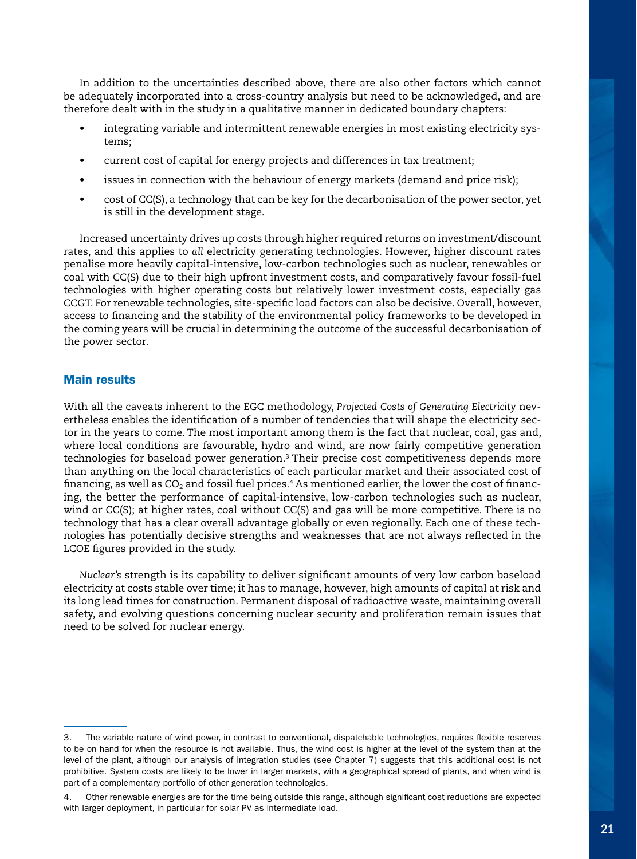In addition to the uncertainties described above, there are also other factors which cannot be adequately incorporated into a cross-country analysis but need to be acknowledged, and are therefore dealt with in the study in a qualitative manner in dedicated boundary chapters:

- integrating variable and intermittent renewable energies in most existing electricity systems;
- current cost of capital for energy projects and differences in tax treatment;
- issues in connection with the behaviour of energy markets (demand and price risk);
- • cost of CC(S), a technology that can be key for the decarbonisation of the power sector, yet is still in the development stage.

Increased uncertainty drives up costs through higher required returns on investment/discount rates, and this applies to *all* electricity generating technologies. However, higher discount rates penalise more heavily capital-intensive, low-carbon technologies such as nuclear, renewables or coal with CC(S) due to their high upfront investment costs, and comparatively favour fossil-fuel technologies with higher operating costs but relatively lower investment costs, especially gas CCGT. For renewable technologies, site-specific load factors can also be decisive. Overall, however, access to financing and the stability of the environmental policy frameworks to be developed in the coming years will be crucial in determining the outcome of the successful decarbonisation of the power sector.

## Main results

With all the caveats inherent to the EGC methodology, *Projected Costs of Generating Electricity* nevertheless enables the identification of a number of tendencies that will shape the electricity sector in the years to come. The most important among them is the fact that nuclear, coal, gas and, where local conditions are favourable, hydro and wind, are now fairly competitive generation technologies for baseload power generation.<sup>3</sup> Their precise cost competitiveness depends more than anything on the local characteristics of each particular market and their associated cost of financing, as well as  $CO<sub>2</sub>$  and fossil fuel prices.<sup>4</sup> As mentioned earlier, the lower the cost of financing, the better the performance of capital-intensive, low-carbon technologies such as nuclear, wind or CC(S); at higher rates, coal without CC(S) and gas will be more competitive. There is no technology that has a clear overall advantage globally or even regionally. Each one of these technologies has potentially decisive strengths and weaknesses that are not always reflected in the LCOE figures provided in the study.

*Nuclear's* strength is its capability to deliver significant amounts of very low carbon baseload electricity at costs stable over time; it has to manage, however, high amounts of capital at risk and its long lead times for construction. Permanent disposal of radioactive waste, maintaining overall safety, and evolving questions concerning nuclear security and proliferation remain issues that need to be solved for nuclear energy.

The variable nature of wind power, in contrast to conventional, dispatchable technologies, requires flexible reserves to be on hand for when the resource is not available. Thus, the wind cost is higher at the level of the system than at the level of the plant, although our analysis of integration studies (see Chapter 7) suggests that this additional cost is not prohibitive. System costs are likely to be lower in larger markets, with a geographical spread of plants, and when wind is part of a complementary portfolio of other generation technologies.

<sup>4.</sup> Other renewable energies are for the time being outside this range, although significant cost reductions are expected with larger deployment, in particular for solar PV as intermediate load.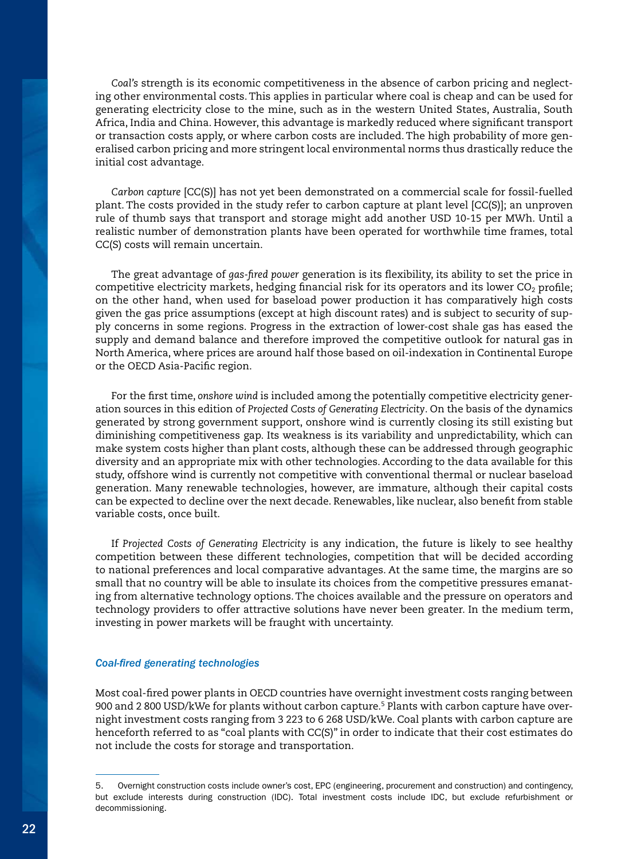*Coal's* strength is its economic competitiveness in the absence of carbon pricing and neglecting other environmental costs. This applies in particular where coal is cheap and can be used for generating electricity close to the mine, such as in the western United States, Australia, South Africa, India and China. However, this advantage is markedly reduced where significant transport or transaction costs apply, or where carbon costs are included. The high probability of more generalised carbon pricing and more stringent local environmental norms thus drastically reduce the initial cost advantage.

*Carbon capture* [CC(S)] has not yet been demonstrated on a commercial scale for fossil-fuelled plant. The costs provided in the study refer to carbon capture at plant level [CC(S)]; an unproven rule of thumb says that transport and storage might add another USD 10-15 per MWh. Until a realistic number of demonstration plants have been operated for worthwhile time frames, total CC(S) costs will remain uncertain.

The great advantage of *gas-fired power* generation is its flexibility, its ability to set the price in competitive electricity markets, hedging financial risk for its operators and its lower  $CO<sub>2</sub>$  profile; on the other hand, when used for baseload power production it has comparatively high costs given the gas price assumptions (except at high discount rates) and is subject to security of supply concerns in some regions. Progress in the extraction of lower-cost shale gas has eased the supply and demand balance and therefore improved the competitive outlook for natural gas in North America, where prices are around half those based on oil-indexation in Continental Europe or the OECD Asia-Pacific region.

For the first time, *onshore wind* is included among the potentially competitive electricity generation sources in this edition of *Projected Costs of Generating Electricity*. On the basis of the dynamics generated by strong government support, onshore wind is currently closing its still existing but diminishing competitiveness gap. Its weakness is its variability and unpredictability, which can make system costs higher than plant costs, although these can be addressed through geographic diversity and an appropriate mix with other technologies. According to the data available for this study, offshore wind is currently not competitive with conventional thermal or nuclear baseload generation. Many renewable technologies, however, are immature, although their capital costs can be expected to decline over the next decade. Renewables, like nuclear, also benefit from stable variable costs, once built.

If *Projected Costs of Generating Electricity* is any indication, the future is likely to see healthy competition between these different technologies, competition that will be decided according to national preferences and local comparative advantages. At the same time, the margins are so small that no country will be able to insulate its choices from the competitive pressures emanating from alternative technology options. The choices available and the pressure on operators and technology providers to offer attractive solutions have never been greater. In the medium term, investing in power markets will be fraught with uncertainty.

### *Coal-fired generating technologies*

Most coal-fired power plants in OECD countries have overnight investment costs ranging between 900 and 2 800 USD/kWe for plants without carbon capture.5 Plants with carbon capture have overnight investment costs ranging from 3 223 to 6 268 USD/kWe. Coal plants with carbon capture are henceforth referred to as "coal plants with CC(S)" in order to indicate that their cost estimates do not include the costs for storage and transportation.

<sup>5.</sup> Overnight construction costs include owner's cost, EPC (engineering, procurement and construction) and contingency, but exclude interests during construction (IDC). Total investment costs include IDC, but exclude refurbishment or decommissioning.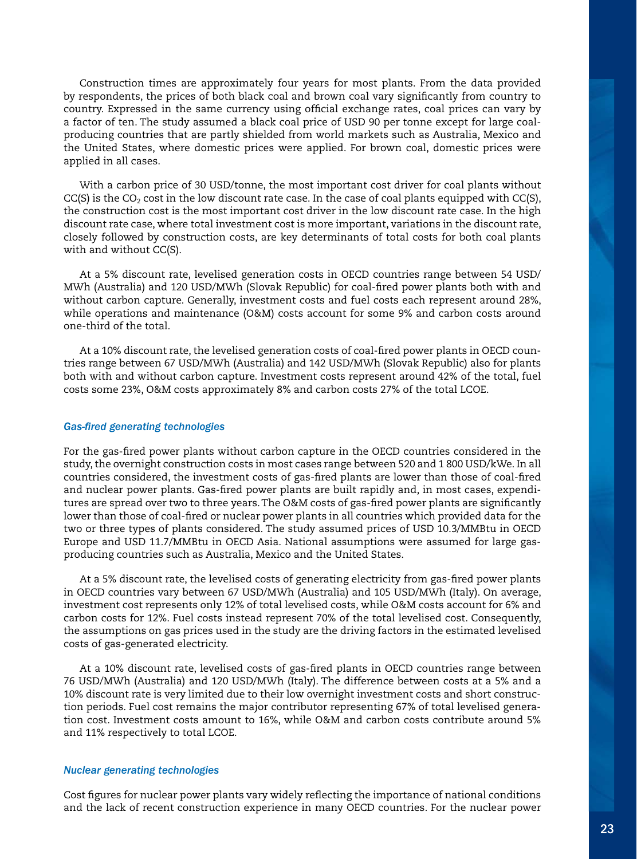Construction times are approximately four years for most plants. From the data provided by respondents, the prices of both black coal and brown coal vary significantly from country to country. Expressed in the same currency using official exchange rates, coal prices can vary by a factor of ten. The study assumed a black coal price of USD 90 per tonne except for large coalproducing countries that are partly shielded from world markets such as Australia, Mexico and the United States, where domestic prices were applied. For brown coal, domestic prices were applied in all cases.

With a carbon price of 30 USD/tonne, the most important cost driver for coal plants without CC(S) is the CO<sub>2</sub> cost in the low discount rate case. In the case of coal plants equipped with CC(S), the construction cost is the most important cost driver in the low discount rate case. In the high discount rate case, where total investment cost is more important, variations in the discount rate, closely followed by construction costs, are key determinants of total costs for both coal plants with and without CC(S).

At a 5% discount rate, levelised generation costs in OECD countries range between 54 USD/ MWh (Australia) and 120 USD/MWh (Slovak Republic) for coal-fired power plants both with and without carbon capture. Generally, investment costs and fuel costs each represent around 28%, while operations and maintenance (O&M) costs account for some 9% and carbon costs around one-third of the total.

At a 10% discount rate, the levelised generation costs of coal-fired power plants in OECD countries range between 67 USD/MWh (Australia) and 142 USD/MWh (Slovak Republic) also for plants both with and without carbon capture. Investment costs represent around 42% of the total, fuel costs some 23%, O&M costs approximately 8% and carbon costs 27% of the total LCOE.

#### *Gas-fired generating technologies*

For the gas-fired power plants without carbon capture in the OECD countries considered in the study, the overnight construction costs in most cases range between 520 and 1 800 USD/kWe. In all countries considered, the investment costs of gas-fired plants are lower than those of coal-fired and nuclear power plants. Gas-fired power plants are built rapidly and, in most cases, expenditures are spread over two to three years. The O&M costs of gas-fired power plants are significantly lower than those of coal-fired or nuclear power plants in all countries which provided data for the two or three types of plants considered. The study assumed prices of USD 10.3/MMBtu in OECD Europe and USD 11.7/MMBtu in OECD Asia. National assumptions were assumed for large gasproducing countries such as Australia, Mexico and the United States.

At a 5% discount rate, the levelised costs of generating electricity from gas-fired power plants in OECD countries vary between 67 USD/MWh (Australia) and 105 USD/MWh (Italy). On average, investment cost represents only 12% of total levelised costs, while O&M costs account for 6% and carbon costs for 12%. Fuel costs instead represent 70% of the total levelised cost. Consequently, the assumptions on gas prices used in the study are the driving factors in the estimated levelised costs of gas-generated electricity.

At a 10% discount rate, levelised costs of gas-fired plants in OECD countries range between 76 USD/MWh (Australia) and 120 USD/MWh (Italy). The difference between costs at a 5% and a 10% discount rate is very limited due to their low overnight investment costs and short construction periods. Fuel cost remains the major contributor representing 67% of total levelised generation cost. Investment costs amount to 16%, while O&M and carbon costs contribute around 5% and 11% respectively to total LCOE.

#### *Nuclear generating technologies*

Cost figures for nuclear power plants vary widely reflecting the importance of national conditions and the lack of recent construction experience in many OECD countries. For the nuclear power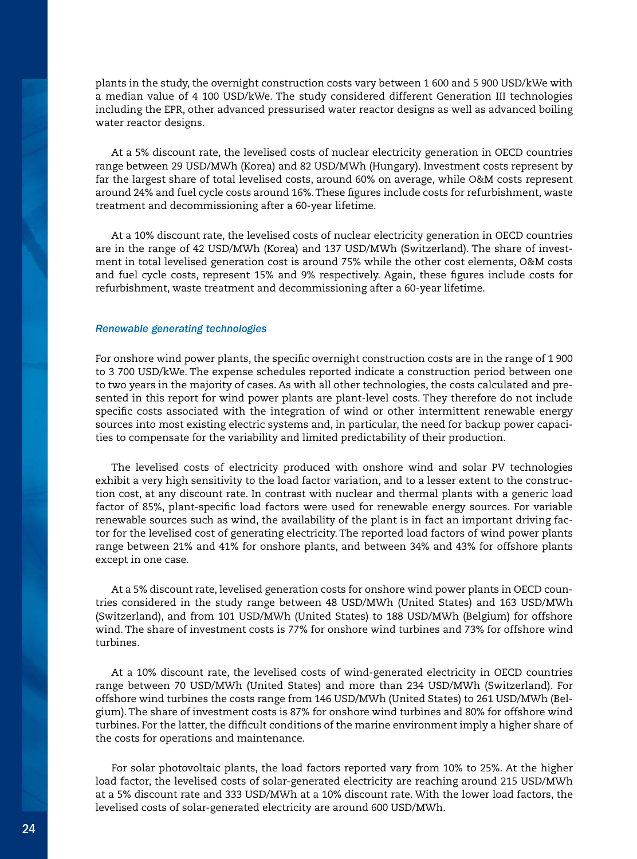plants in the study, the overnight construction costs vary between 1 600 and 5 900 USD/kWe with a median value of 4 100 USD/kWe. The study considered different Generation III technologies including the EPR, other advanced pressurised water reactor designs as well as advanced boiling water reactor designs.

At a 5% discount rate, the levelised costs of nuclear electricity generation in OECD countries range between 29 USD/MWh (Korea) and 82 USD/MWh (Hungary). Investment costs represent by far the largest share of total levelised costs, around 60% on average, while O&M costs represent around 24% and fuel cycle costs around 16%. These figures include costs for refurbishment, waste treatment and decommissioning after a 60-year lifetime.

At a 10% discount rate, the levelised costs of nuclear electricity generation in OECD countries are in the range of 42 USD/MWh (Korea) and 137 USD/MWh (Switzerland). The share of investment in total levelised generation cost is around 75% while the other cost elements, O&M costs and fuel cycle costs, represent 15% and 9% respectively. Again, these figures include costs for refurbishment, waste treatment and decommissioning after a 60-year lifetime.

#### *Renewable generating technologies*

For onshore wind power plants, the specific overnight construction costs are in the range of 1 900 to 3 700 USD/kWe. The expense schedules reported indicate a construction period between one to two years in the majority of cases. As with all other technologies, the costs calculated and presented in this report for wind power plants are plant-level costs. They therefore do not include specific costs associated with the integration of wind or other intermittent renewable energy sources into most existing electric systems and, in particular, the need for backup power capacities to compensate for the variability and limited predictability of their production.

The levelised costs of electricity produced with onshore wind and solar PV technologies exhibit a very high sensitivity to the load factor variation, and to a lesser extent to the construction cost, at any discount rate. In contrast with nuclear and thermal plants with a generic load factor of 85%, plant-specific load factors were used for renewable energy sources. For variable renewable sources such as wind, the availability of the plant is in fact an important driving factor for the levelised cost of generating electricity. The reported load factors of wind power plants range between 21% and 41% for onshore plants, and between 34% and 43% for offshore plants except in one case.

At a 5% discount rate, levelised generation costs for onshore wind power plants in OECD countries considered in the study range between 48 USD/MWh (United States) and 163 USD/MWh (Switzerland), and from 101 USD/MWh (United States) to 188 USD/MWh (Belgium) for offshore wind. The share of investment costs is 77% for onshore wind turbines and 73% for offshore wind turbines.

At a 10% discount rate, the levelised costs of wind-generated electricity in OECD countries range between 70 USD/MWh (United States) and more than 234 USD/MWh (Switzerland). For offshore wind turbines the costs range from 146 USD/MWh (United States) to 261 USD/MWh (Belgium). The share of investment costs is 87% for onshore wind turbines and 80% for offshore wind turbines. For the latter, the difficult conditions of the marine environment imply a higher share of the costs for operations and maintenance.

For solar photovoltaic plants, the load factors reported vary from 10% to 25%. At the higher load factor, the levelised costs of solar-generated electricity are reaching around 215 USD/MWh at a 5% discount rate and 333 USD/MWh at a 10% discount rate. With the lower load factors, the levelised costs of solar-generated electricity are around 600 USD/MWh.